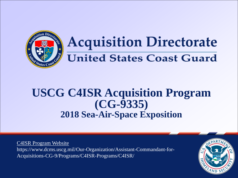

# **Acquisition Directorate United States Coast Guard**

### **USCG C4ISR Acquisition Program (CG-9335) 2018 Sea-Air-Space Exposition**

C4ISR Program Website https://www.dcms.uscg.mil/Our-Organization/Assistant-Commandant-for-Acquisitions-CG-9/Programs/C4ISR-Programs/C4ISR/

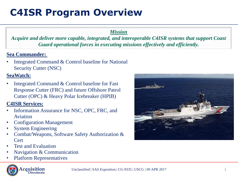### **C4ISR Program Overview**

### *Mission*

*Acquire and deliver more capable, integrated, and interoperable C4ISR systems that support Coast Guard operational forces in executing missions effectively and efficiently.* 

### **Sea Commander:**

Integrated Command & Control baseline for National Security Cutter (NSC)

### **SeaWatch:**

Integrated Command & Control baseline for Fast Response Cutter (FRC) and future Offshore Patrol Cutter (OPC) & Heavy Polar Icebreaker (HPIB)

### **C4ISR Services:**

- Information Assurance for NSC, OPC, FRC, and Aviation
- Configuration Management
- System Engineering
- Combat/Weapons, Software Safety Authorization & **Cert**
- Test and Evaluation
- Navigation & Communication
- Platform Representatives







1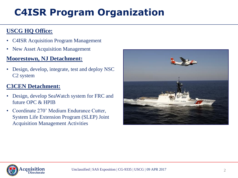## **C4ISR Program Organization**

### **USCG HQ Office:**

- C4ISR Acquisition Program Management
- New Asset Acquisition Management

### **Moorestown, NJ Detachment:**

• Design, develop, integrate, test and deploy NSC C2 system

### **C3CEN Detachment:**

- Design, develop SeaWatch system for FRC and future OPC & HPIB
- Coordinate 270' Medium Endurance Cutter, System Life Extension Program (SLEP) Joint Acquisition Management Activities



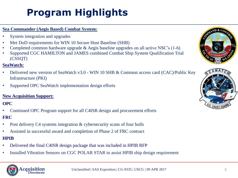## **Program Highlights**

#### **Sea Commander (Aegis Based) Combat System:**

- System integration and upgrades
- Met DoD requirements for WIN 10 Secure Host Baseline (SHB)
- Completed common hardware upgrade & Aegis baseline upgrades on all active NSC's (1-6)
- Supported CGC HAMILTON and JAMES combined Combat Ship System Qualification Trial (CSSQT)

#### **SeaWatch:**

- Delivered new version of SeaWatch v3.0 WIN 10 SHB & Common access card (CAC)/Public Key Infrastructure (PKI)
- Supported OPC SeaWatch implementation design efforts

#### **New Acquisition Support:**

### **OPC**

• Continued OPC Program support for all C4ISR design and procurement efforts

#### **FRC**

- Post delivery C4 systems integration & cybersecurity scans of four hulls
- Assisted in successful award and completion of Phase 2 of FRC contract

#### **HPIB**

- Delivered the final C4ISR design package that was included in HPIB RFP
- Installed Vibration Sensors on CGC POLAR STAR to assist HPIB ship design requirement



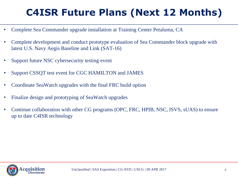## **C4ISR Future Plans (Next 12 Months)**

- Complete Sea Commander upgrade installation at Training Center Petaluma, CA
- Complete development and conduct prototype evaluation of Sea Commander block upgrade with latest U.S. Navy Aegis Baseline and Link (SAT-16)
- Support future NSC cybersecurity testing event
- Support CSSQT test event for CGC HAMILTON and JAMES
- Coordinate SeaWatch upgrades with the final FRC build option
- Finalize design and prototyping of SeaWatch upgrades
- Continue collaboration with other CG programs (OPC, FRC, HPIB, NSC, ISVS, sUAS) to ensure up to date C4ISR technology

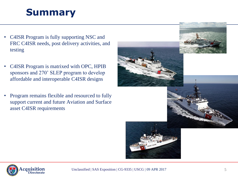### **Summary**

- C4ISR Program is fully supporting NSC and FRC C4ISR needs, post delivery activities, and testing
- C4ISR Program is matrixed with OPC, HPIB sponsors and 270' SLEP program to develop affordable and interoperable C4ISR designs
- Program remains flexible and resourced to fully support current and future Aviation and Surface asset C4ISR requirements





Unclassified | SAS Exposition | CG-9335 | USCG | 09 APR 2017 5